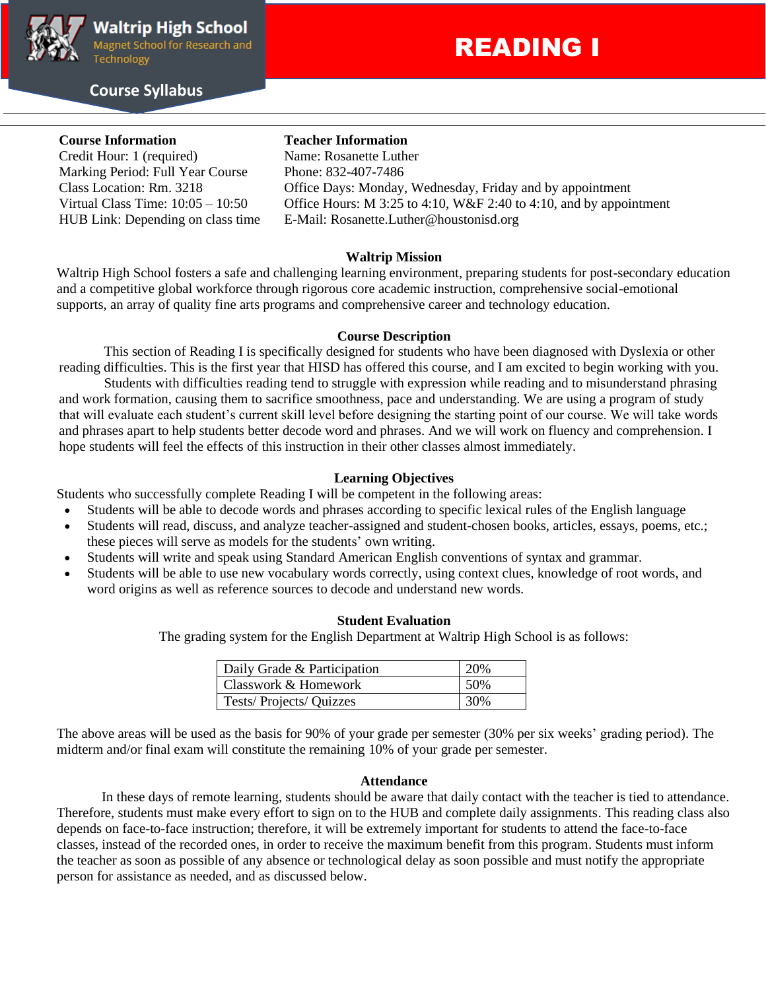

# **Course Syllabus**

# READING I

# **Course Information Teacher Information**

Credit Hour: 1 (required) Name: Rosanette Luther Marking Period: Full Year Course Phone: 832-407-7486

Class Location: Rm. 3218 Office Days: Monday, Wednesday, Friday and by appointment Virtual Class Time:  $10:05 - 10:50$  Office Hours: M 3:25 to 4:10, W&F 2:40 to 4:10, and by appointment HUB Link: Depending on class time E-Mail: Rosanette.Luther@houstonisd.org

### **Waltrip Mission**

Waltrip High School fosters a safe and challenging learning environment, preparing students for post-secondary education and a competitive global workforce through rigorous core academic instruction, comprehensive social-emotional supports, an array of quality fine arts programs and comprehensive career and technology education.

### **Course Description**

This section of Reading I is specifically designed for students who have been diagnosed with Dyslexia or other reading difficulties. This is the first year that HISD has offered this course, and I am excited to begin working with you.

Students with difficulties reading tend to struggle with expression while reading and to misunderstand phrasing and work formation, causing them to sacrifice smoothness, pace and understanding. We are using a program of study that will evaluate each student's current skill level before designing the starting point of our course. We will take words and phrases apart to help students better decode word and phrases. And we will work on fluency and comprehension. I hope students will feel the effects of this instruction in their other classes almost immediately.

# **Learning Objectives**

Students who successfully complete Reading I will be competent in the following areas:

- Students will be able to decode words and phrases according to specific lexical rules of the English language
- Students will read, discuss, and analyze teacher-assigned and student-chosen books, articles, essays, poems, etc.; these pieces will serve as models for the students' own writing.
- Students will write and speak using Standard American English conventions of syntax and grammar.
- Students will be able to use new vocabulary words correctly, using context clues, knowledge of root words, and word origins as well as reference sources to decode and understand new words.

#### **Student Evaluation**

The grading system for the English Department at Waltrip High School is as follows:

| Daily Grade & Participation | 20% |
|-----------------------------|-----|
| Classwork & Homework        | 50% |
| Tests/Projects/Quizzes      | 30% |

The above areas will be used as the basis for 90% of your grade per semester (30% per six weeks' grading period). The midterm and/or final exam will constitute the remaining 10% of your grade per semester.

#### **Attendance**

In these days of remote learning, students should be aware that daily contact with the teacher is tied to attendance. Therefore, students must make every effort to sign on to the HUB and complete daily assignments. This reading class also depends on face-to-face instruction; therefore, it will be extremely important for students to attend the face-to-face classes, instead of the recorded ones, in order to receive the maximum benefit from this program. Students must inform the teacher as soon as possible of any absence or technological delay as soon possible and must notify the appropriate person for assistance as needed, and as discussed below.